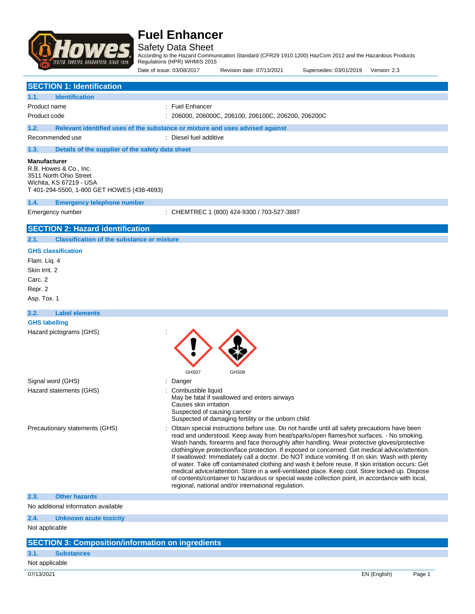

Safety Data Sheet

According to the Hazard Communication Standard (CFR29 1910.1200) HazCom 2012 and the Hazardous Products Regulations (HPR) WHMIS 2015

Date of issue: 03/08/2017 Revision date: 07/13/2021 Supersedes: 03/01/2019 Version: 2.3

| <b>SECTION 1: Identification</b>                                                                                                                 |                                                                                                                                                                                                                                                                                                                                                                                                                                                                                                                                                                                                                                                                                                                                                                                                                                                             |  |  |
|--------------------------------------------------------------------------------------------------------------------------------------------------|-------------------------------------------------------------------------------------------------------------------------------------------------------------------------------------------------------------------------------------------------------------------------------------------------------------------------------------------------------------------------------------------------------------------------------------------------------------------------------------------------------------------------------------------------------------------------------------------------------------------------------------------------------------------------------------------------------------------------------------------------------------------------------------------------------------------------------------------------------------|--|--|
| <b>Identification</b><br>1.1.                                                                                                                    |                                                                                                                                                                                                                                                                                                                                                                                                                                                                                                                                                                                                                                                                                                                                                                                                                                                             |  |  |
| Product name                                                                                                                                     | : Fuel Enhancer                                                                                                                                                                                                                                                                                                                                                                                                                                                                                                                                                                                                                                                                                                                                                                                                                                             |  |  |
| Product code                                                                                                                                     | : 206000, 206000C, 206100, 206100C, 206200, 206200C                                                                                                                                                                                                                                                                                                                                                                                                                                                                                                                                                                                                                                                                                                                                                                                                         |  |  |
| 1.2.                                                                                                                                             | Relevant identified uses of the substance or mixture and uses advised against                                                                                                                                                                                                                                                                                                                                                                                                                                                                                                                                                                                                                                                                                                                                                                               |  |  |
| Recommended use                                                                                                                                  | : Diesel fuel additive                                                                                                                                                                                                                                                                                                                                                                                                                                                                                                                                                                                                                                                                                                                                                                                                                                      |  |  |
| Details of the supplier of the safety data sheet<br>1.3.                                                                                         |                                                                                                                                                                                                                                                                                                                                                                                                                                                                                                                                                                                                                                                                                                                                                                                                                                                             |  |  |
| <b>Manufacturer</b><br>R.B. Howes & Co., Inc.<br>3511 North Ohio Street<br>Wichita, KS 67219 - USA<br>T 401-294-5500, 1-800 GET HOWES (438-4693) |                                                                                                                                                                                                                                                                                                                                                                                                                                                                                                                                                                                                                                                                                                                                                                                                                                                             |  |  |
| 1.4.<br><b>Emergency telephone number</b>                                                                                                        |                                                                                                                                                                                                                                                                                                                                                                                                                                                                                                                                                                                                                                                                                                                                                                                                                                                             |  |  |
| Emergency number                                                                                                                                 | : CHEMTREC 1 (800) 424-9300 / 703-527-3887                                                                                                                                                                                                                                                                                                                                                                                                                                                                                                                                                                                                                                                                                                                                                                                                                  |  |  |
| <b>SECTION 2: Hazard identification</b>                                                                                                          |                                                                                                                                                                                                                                                                                                                                                                                                                                                                                                                                                                                                                                                                                                                                                                                                                                                             |  |  |
| <b>Classification of the substance or mixture</b><br>2.1.                                                                                        |                                                                                                                                                                                                                                                                                                                                                                                                                                                                                                                                                                                                                                                                                                                                                                                                                                                             |  |  |
| <b>GHS classification</b>                                                                                                                        |                                                                                                                                                                                                                                                                                                                                                                                                                                                                                                                                                                                                                                                                                                                                                                                                                                                             |  |  |
| Flam. Liq. 4                                                                                                                                     |                                                                                                                                                                                                                                                                                                                                                                                                                                                                                                                                                                                                                                                                                                                                                                                                                                                             |  |  |
| Skin Irrit. 2                                                                                                                                    |                                                                                                                                                                                                                                                                                                                                                                                                                                                                                                                                                                                                                                                                                                                                                                                                                                                             |  |  |
| Carc. 2                                                                                                                                          |                                                                                                                                                                                                                                                                                                                                                                                                                                                                                                                                                                                                                                                                                                                                                                                                                                                             |  |  |
| Repr. 2                                                                                                                                          |                                                                                                                                                                                                                                                                                                                                                                                                                                                                                                                                                                                                                                                                                                                                                                                                                                                             |  |  |
| Asp. Tox. 1                                                                                                                                      |                                                                                                                                                                                                                                                                                                                                                                                                                                                                                                                                                                                                                                                                                                                                                                                                                                                             |  |  |
| 2.2.<br><b>Label elements</b>                                                                                                                    |                                                                                                                                                                                                                                                                                                                                                                                                                                                                                                                                                                                                                                                                                                                                                                                                                                                             |  |  |
| <b>GHS labelling</b>                                                                                                                             |                                                                                                                                                                                                                                                                                                                                                                                                                                                                                                                                                                                                                                                                                                                                                                                                                                                             |  |  |
| Hazard pictograms (GHS)                                                                                                                          | GHS07<br>GHS08                                                                                                                                                                                                                                                                                                                                                                                                                                                                                                                                                                                                                                                                                                                                                                                                                                              |  |  |
| Signal word (GHS)                                                                                                                                | Danger                                                                                                                                                                                                                                                                                                                                                                                                                                                                                                                                                                                                                                                                                                                                                                                                                                                      |  |  |
| Hazard statements (GHS)                                                                                                                          | Combustible liquid<br>May be fatal if swallowed and enters airways<br>Causes skin irritation<br>Suspected of causing cancer<br>Suspected of damaging fertility or the unborn child                                                                                                                                                                                                                                                                                                                                                                                                                                                                                                                                                                                                                                                                          |  |  |
| Precautionary statements (GHS)                                                                                                                   | Obtain special instructions before use. Do not handle until all safety precautions have been<br>read and understood. Keep away from heat/sparks/open flames/hot surfaces. - No smoking.<br>Wash hands, forearms and face thoroughly after handling. Wear protective gloves/protective<br>clothing/eye protection/face protection. If exposed or concerned: Get medical advice/attention.<br>If swallowed: Immediately call a doctor. Do NOT induce vomiting. If on skin: Wash with plenty<br>of water. Take off contaminated clothing and wash it before reuse. If skin irritation occurs: Get<br>medical advice/attention. Store in a well-ventilated place. Keep cool. Store locked up. Dispose<br>of contents/container to hazardous or special waste collection point, in accordance with local,<br>regional, national and/or international regulation. |  |  |
| 2.3.<br><b>Other hazards</b>                                                                                                                     |                                                                                                                                                                                                                                                                                                                                                                                                                                                                                                                                                                                                                                                                                                                                                                                                                                                             |  |  |
| No additional information available                                                                                                              |                                                                                                                                                                                                                                                                                                                                                                                                                                                                                                                                                                                                                                                                                                                                                                                                                                                             |  |  |
| 2.4.<br><b>Unknown acute toxicity</b>                                                                                                            |                                                                                                                                                                                                                                                                                                                                                                                                                                                                                                                                                                                                                                                                                                                                                                                                                                                             |  |  |
| Not applicable                                                                                                                                   |                                                                                                                                                                                                                                                                                                                                                                                                                                                                                                                                                                                                                                                                                                                                                                                                                                                             |  |  |
| <b>SECTION 3: Composition/information on ingredients</b>                                                                                         |                                                                                                                                                                                                                                                                                                                                                                                                                                                                                                                                                                                                                                                                                                                                                                                                                                                             |  |  |
| 3.1.<br><b>Substances</b>                                                                                                                        |                                                                                                                                                                                                                                                                                                                                                                                                                                                                                                                                                                                                                                                                                                                                                                                                                                                             |  |  |
| Not applicable                                                                                                                                   |                                                                                                                                                                                                                                                                                                                                                                                                                                                                                                                                                                                                                                                                                                                                                                                                                                                             |  |  |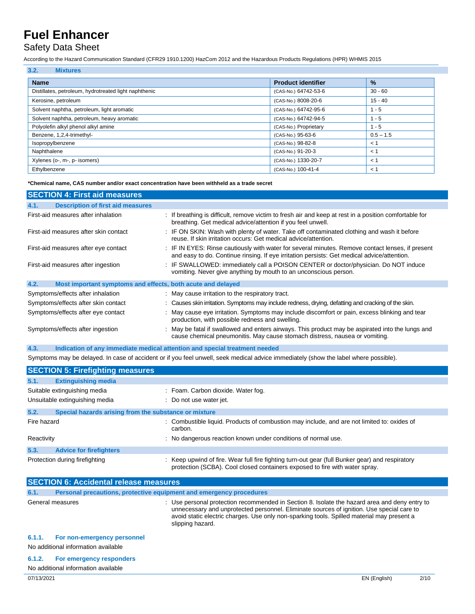## Safety Data Sheet

According to the Hazard Communication Standard (CFR29 1910.1200) HazCom 2012 and the Hazardous Products Regulations (HPR) WHMIS 2015

| 3.2.<br><b>Mixtures</b>                               |                           |             |
|-------------------------------------------------------|---------------------------|-------------|
| <b>Name</b>                                           | <b>Product identifier</b> | $\%$        |
| Distillates, petroleum, hydrotreated light naphthenic | (CAS-No.) 64742-53-6      | $30 - 60$   |
| Kerosine, petroleum                                   | (CAS-No.) 8008-20-6       | $15 - 40$   |
| Solvent naphtha, petroleum, light aromatic            | (CAS-No.) 64742-95-6      | $1 - 5$     |
| Solvent naphtha, petroleum, heavy aromatic            | (CAS-No.) 64742-94-5      | $1 - 5$     |
| Polyolefin alkyl phenol alkyl amine                   | (CAS-No.) Proprietary     | $1 - 5$     |
| Benzene, 1,2,4-trimethyl-                             | (CAS-No.) 95-63-6         | $0.5 - 1.5$ |
| Isopropylbenzene                                      | (CAS-No.) 98-82-8         | < 1         |
| Naphthalene                                           | (CAS-No.) 91-20-3         | < 1         |
| Xylenes (o-, m-, p- isomers)                          | (CAS-No.) 1330-20-7       | < 1         |
| Ethylbenzene                                          | (CAS-No.) 100-41-4        | < 1         |

**\*Chemical name, CAS number and/or exact concentration have been withheld as a trade secret**

| <b>SECTION 4: First aid measures</b>                                |                                                                                                                                                                                                 |
|---------------------------------------------------------------------|-------------------------------------------------------------------------------------------------------------------------------------------------------------------------------------------------|
| <b>Description of first aid measures</b><br>4.1.                    |                                                                                                                                                                                                 |
| First-aid measures after inhalation                                 | : If breathing is difficult, remove victim to fresh air and keep at rest in a position comfortable for<br>breathing. Get medical advice/attention if you feel unwell.                           |
| First-aid measures after skin contact                               | : IF ON SKIN: Wash with plenty of water. Take off contaminated clothing and wash it before<br>reuse. If skin irritation occurs: Get medical advice/attention.                                   |
| First-aid measures after eye contact                                | : IF IN EYES: Rinse cautiously with water for several minutes. Remove contact lenses, if present<br>and easy to do. Continue rinsing. If eye irritation persists: Get medical advice/attention. |
| First-aid measures after ingestion                                  | : IF SWALLOWED: immediately call a POISON CENTER or doctor/physician. Do NOT induce<br>vomiting. Never give anything by mouth to an unconscious person.                                         |
| 4.2.<br>Most important symptoms and effects, both acute and delayed |                                                                                                                                                                                                 |
| Symptoms/effects after inhalation                                   | : May cause irritation to the respiratory tract.                                                                                                                                                |
| Symptoms/effects after skin contact                                 | : Causes skin irritation. Symptoms may include redness, drying, defatting and cracking of the skin.                                                                                             |
| Symptoms/effects after eye contact                                  | : May cause eye irritation. Symptoms may include discomfort or pain, excess blinking and tear<br>production, with possible redness and swelling.                                                |
| Symptoms/effects after ingestion                                    | : May be fatal if swallowed and enters airways. This product may be aspirated into the lungs and<br>cause chemical pneumonitis. May cause stomach distress, nausea or vomiting.                 |

**4.3. Indication of any immediate medical attention and special treatment needed** Symptoms may be delayed. In case of accident or if you feel unwell, seek medical advice immediately (show the label where possible).

|             | <b>SECTION 5: Firefighting measures</b>                            |                                                                                                                                                                                |  |
|-------------|--------------------------------------------------------------------|--------------------------------------------------------------------------------------------------------------------------------------------------------------------------------|--|
| 5.1.        | <b>Extinguishing media</b>                                         |                                                                                                                                                                                |  |
|             | Suitable extinguishing media<br>: Foam. Carbon dioxide. Water fog. |                                                                                                                                                                                |  |
|             | Unsuitable extinguishing media                                     | : Do not use water jet.                                                                                                                                                        |  |
| 5.2.        | Special hazards arising from the substance or mixture              |                                                                                                                                                                                |  |
| Fire hazard |                                                                    | : Combustible liquid. Products of combustion may include, and are not limited to: oxides of<br>carbon.                                                                         |  |
| Reactivity  |                                                                    | : No dangerous reaction known under conditions of normal use.                                                                                                                  |  |
| 5.3.        | <b>Advice for firefighters</b>                                     |                                                                                                                                                                                |  |
|             | Protection during firefighting                                     | : Keep upwind of fire. Wear full fire fighting turn-out gear (full Bunker gear) and respiratory<br>protection (SCBA). Cool closed containers exposed to fire with water spray. |  |

| <b>SECTION 6: Accidental release measures</b> |                                                                     |                                                                                                                                                                                                                                                                                                              |
|-----------------------------------------------|---------------------------------------------------------------------|--------------------------------------------------------------------------------------------------------------------------------------------------------------------------------------------------------------------------------------------------------------------------------------------------------------|
| 6.1.                                          | Personal precautions, protective equipment and emergency procedures |                                                                                                                                                                                                                                                                                                              |
|                                               | General measures                                                    | : Use personal protection recommended in Section 8. Isolate the hazard area and deny entry to<br>unnecessary and unprotected personnel. Eliminate sources of ignition. Use special care to<br>avoid static electric charges. Use only non-sparking tools. Spilled material may present a<br>slipping hazard. |
| 6.1.1.                                        | For non-emergency personnel<br>No additional information available  |                                                                                                                                                                                                                                                                                                              |
| 6.1.2.                                        | For emergency responders<br>No additional information available     |                                                                                                                                                                                                                                                                                                              |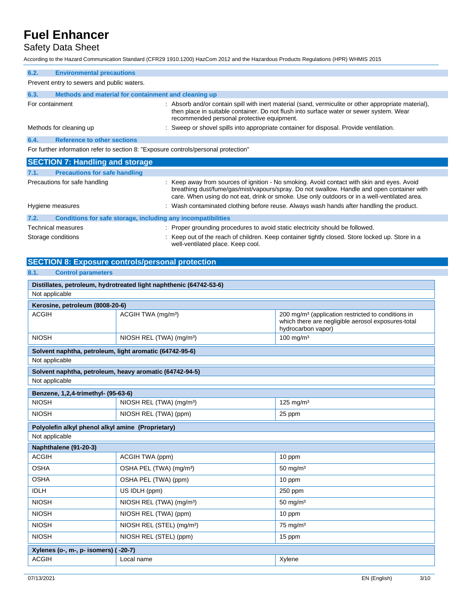## Safety Data Sheet

According to the Hazard Communication Standard (CFR29 1910.1200) HazCom 2012 and the Hazardous Products Regulations (HPR) WHMIS 2015

| 6.2.                                       | <b>Environmental precautions</b>                                                    |                                                                                                                                                                                                                                                                                          |
|--------------------------------------------|-------------------------------------------------------------------------------------|------------------------------------------------------------------------------------------------------------------------------------------------------------------------------------------------------------------------------------------------------------------------------------------|
| Prevent entry to sewers and public waters. |                                                                                     |                                                                                                                                                                                                                                                                                          |
| 6.3.                                       | Methods and material for containment and cleaning up                                |                                                                                                                                                                                                                                                                                          |
| For containment                            |                                                                                     | : Absorb and/or contain spill with inert material (sand, vermiculite or other appropriate material),<br>then place in suitable container. Do not flush into surface water or sewer system. Wear<br>recommended personal protective equipment.                                            |
|                                            | Methods for cleaning up                                                             | : Sweep or shovel spills into appropriate container for disposal. Provide ventilation.                                                                                                                                                                                                   |
| 6.4.                                       | <b>Reference to other sections</b>                                                  |                                                                                                                                                                                                                                                                                          |
|                                            | For further information refer to section 8: "Exposure controls/personal protection" |                                                                                                                                                                                                                                                                                          |
| <b>SECTION 7: Handling and storage</b>     |                                                                                     |                                                                                                                                                                                                                                                                                          |
| 7.1.                                       | <b>Precautions for safe handling</b>                                                |                                                                                                                                                                                                                                                                                          |
|                                            | Precautions for safe handling                                                       | : Keep away from sources of ignition - No smoking. Avoid contact with skin and eyes. Avoid<br>breathing dust/fume/gas/mist/vapours/spray. Do not swallow. Handle and open container with<br>care. When using do not eat, drink or smoke. Use only outdoors or in a well-ventilated area. |
|                                            | Hygiene measures                                                                    | : Wash contaminated clothing before reuse. Always wash hands after handling the product.                                                                                                                                                                                                 |
| 7.2.                                       | Conditions for safe storage, including any incompatibilities                        |                                                                                                                                                                                                                                                                                          |
| Technical measures                         |                                                                                     |                                                                                                                                                                                                                                                                                          |
|                                            |                                                                                     | : Proper grounding procedures to avoid static electricity should be followed.                                                                                                                                                                                                            |

### **SECTION 8: Exposure controls/personal protection**

### **8.1. Control parameters**

| Distillates, petroleum, hydrotreated light naphthenic (64742-53-6) |                                                         |                                                                                                                                            |
|--------------------------------------------------------------------|---------------------------------------------------------|--------------------------------------------------------------------------------------------------------------------------------------------|
| Not applicable                                                     |                                                         |                                                                                                                                            |
| Kerosine, petroleum (8008-20-6)                                    |                                                         |                                                                                                                                            |
| <b>ACGIH</b>                                                       | ACGIH TWA (mg/m <sup>3</sup> )                          | 200 mg/m <sup>3</sup> (application restricted to conditions in<br>which there are negligible aerosol exposures-total<br>hydrocarbon vapor) |
| <b>NIOSH</b>                                                       | NIOSH REL (TWA) (mg/m <sup>3</sup> )                    | 100 mg/m $3$                                                                                                                               |
| Solvent naphtha, petroleum, light aromatic (64742-95-6)            |                                                         |                                                                                                                                            |
| Not applicable                                                     |                                                         |                                                                                                                                            |
|                                                                    | Solvent naphtha, petroleum, heavy aromatic (64742-94-5) |                                                                                                                                            |
| Not applicable                                                     |                                                         |                                                                                                                                            |
| Benzene, 1,2,4-trimethyl- (95-63-6)                                |                                                         |                                                                                                                                            |
| <b>NIOSH</b>                                                       | NIOSH REL (TWA) (mg/m <sup>3</sup> )                    | $125$ mg/m <sup>3</sup>                                                                                                                    |
| <b>NIOSH</b>                                                       | NIOSH REL (TWA) (ppm)                                   | 25 ppm                                                                                                                                     |
| Polyolefin alkyl phenol alkyl amine (Proprietary)                  |                                                         |                                                                                                                                            |
| Not applicable                                                     |                                                         |                                                                                                                                            |
| Naphthalene (91-20-3)                                              |                                                         |                                                                                                                                            |
| <b>ACGIH</b>                                                       | ACGIH TWA (ppm)                                         | 10 ppm                                                                                                                                     |
| <b>OSHA</b>                                                        | OSHA PEL (TWA) (mg/m <sup>3</sup> )                     | $50 \text{ mg/m}^3$                                                                                                                        |
| <b>OSHA</b>                                                        | OSHA PEL (TWA) (ppm)                                    | 10 ppm                                                                                                                                     |
| <b>IDLH</b>                                                        | US IDLH (ppm)                                           | 250 ppm                                                                                                                                    |
| <b>NIOSH</b>                                                       | NIOSH REL (TWA) (mg/m <sup>3</sup> )                    | $50 \text{ mg/m}^3$                                                                                                                        |
| <b>NIOSH</b>                                                       | NIOSH REL (TWA) (ppm)                                   | 10 ppm                                                                                                                                     |
| <b>NIOSH</b>                                                       | NIOSH REL (STEL) (mg/m <sup>3</sup> )                   | $75 \text{ mg/m}^3$                                                                                                                        |
| <b>NIOSH</b>                                                       | NIOSH REL (STEL) (ppm)                                  | 15 ppm                                                                                                                                     |
| Xylenes (o-, m-, p- isomers) (                                     | $-20-7$ )                                               |                                                                                                                                            |
| <b>ACGIH</b>                                                       | Local name                                              | Xylene                                                                                                                                     |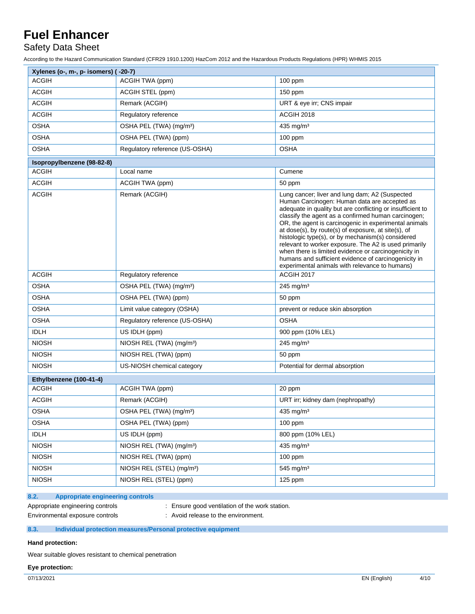## Safety Data Sheet

According to the Hazard Communication Standard (CFR29 1910.1200) HazCom 2012 and the Hazardous Products Regulations (HPR) WHMIS 2015

| Xylenes (o-, m-, p- isomers) (-20-7) |                                       |                                                                                                                                                                                                                                                                                                                                                                                                                                                                                                                                                                                                                     |
|--------------------------------------|---------------------------------------|---------------------------------------------------------------------------------------------------------------------------------------------------------------------------------------------------------------------------------------------------------------------------------------------------------------------------------------------------------------------------------------------------------------------------------------------------------------------------------------------------------------------------------------------------------------------------------------------------------------------|
| <b>ACGIH</b>                         | ACGIH TWA (ppm)                       | $100$ ppm                                                                                                                                                                                                                                                                                                                                                                                                                                                                                                                                                                                                           |
| <b>ACGIH</b>                         | ACGIH STEL (ppm)                      | 150 ppm                                                                                                                                                                                                                                                                                                                                                                                                                                                                                                                                                                                                             |
| <b>ACGIH</b>                         | Remark (ACGIH)                        | URT & eye irr; CNS impair                                                                                                                                                                                                                                                                                                                                                                                                                                                                                                                                                                                           |
| <b>ACGIH</b>                         | Regulatory reference                  | <b>ACGIH 2018</b>                                                                                                                                                                                                                                                                                                                                                                                                                                                                                                                                                                                                   |
| <b>OSHA</b>                          | OSHA PEL (TWA) (mg/m <sup>3</sup> )   | 435 mg/m <sup>3</sup>                                                                                                                                                                                                                                                                                                                                                                                                                                                                                                                                                                                               |
| <b>OSHA</b>                          | OSHA PEL (TWA) (ppm)                  | $100$ ppm                                                                                                                                                                                                                                                                                                                                                                                                                                                                                                                                                                                                           |
| <b>OSHA</b>                          | Regulatory reference (US-OSHA)        | <b>OSHA</b>                                                                                                                                                                                                                                                                                                                                                                                                                                                                                                                                                                                                         |
| Isopropylbenzene (98-82-8)           |                                       |                                                                                                                                                                                                                                                                                                                                                                                                                                                                                                                                                                                                                     |
| <b>ACGIH</b>                         | Local name                            | Cumene                                                                                                                                                                                                                                                                                                                                                                                                                                                                                                                                                                                                              |
| <b>ACGIH</b>                         | ACGIH TWA (ppm)                       | 50 ppm                                                                                                                                                                                                                                                                                                                                                                                                                                                                                                                                                                                                              |
| <b>ACGIH</b>                         | Remark (ACGIH)                        | Lung cancer; liver and lung dam; A2 (Suspected<br>Human Carcinogen: Human data are accepted as<br>adequate in quality but are conflicting or insufficient to<br>classify the agent as a confirmed human carcinogen;<br>OR, the agent is carcinogenic in experimental animals<br>at dose(s), by route(s) of exposure, at site(s), of<br>histologic type(s), or by mechanism(s) considered<br>relevant to worker exposure. The A2 is used primarily<br>when there is limited evidence or carcinogenicity in<br>humans and sufficient evidence of carcinogenicity in<br>experimental animals with relevance to humans) |
| ACGIH                                | Regulatory reference                  | ACGIH 2017                                                                                                                                                                                                                                                                                                                                                                                                                                                                                                                                                                                                          |
| <b>OSHA</b>                          | OSHA PEL (TWA) (mg/m <sup>3</sup> )   | $245$ mg/m <sup>3</sup>                                                                                                                                                                                                                                                                                                                                                                                                                                                                                                                                                                                             |
| <b>OSHA</b>                          | OSHA PEL (TWA) (ppm)                  | 50 ppm                                                                                                                                                                                                                                                                                                                                                                                                                                                                                                                                                                                                              |
| <b>OSHA</b>                          | Limit value category (OSHA)           | prevent or reduce skin absorption                                                                                                                                                                                                                                                                                                                                                                                                                                                                                                                                                                                   |
| <b>OSHA</b>                          | Regulatory reference (US-OSHA)        | <b>OSHA</b>                                                                                                                                                                                                                                                                                                                                                                                                                                                                                                                                                                                                         |
| <b>IDLH</b>                          | US IDLH (ppm)                         | 900 ppm (10% LEL)                                                                                                                                                                                                                                                                                                                                                                                                                                                                                                                                                                                                   |
| <b>NIOSH</b>                         | NIOSH REL (TWA) (mg/m <sup>3</sup> )  | 245 mg/m $3$                                                                                                                                                                                                                                                                                                                                                                                                                                                                                                                                                                                                        |
| <b>NIOSH</b>                         | NIOSH REL (TWA) (ppm)                 | 50 ppm                                                                                                                                                                                                                                                                                                                                                                                                                                                                                                                                                                                                              |
| <b>NIOSH</b>                         | US-NIOSH chemical category            | Potential for dermal absorption                                                                                                                                                                                                                                                                                                                                                                                                                                                                                                                                                                                     |
| Ethylbenzene (100-41-4)              |                                       |                                                                                                                                                                                                                                                                                                                                                                                                                                                                                                                                                                                                                     |
| <b>ACGIH</b>                         | ACGIH TWA (ppm)                       | 20 ppm                                                                                                                                                                                                                                                                                                                                                                                                                                                                                                                                                                                                              |
| <b>ACGIH</b>                         | Remark (ACGIH)                        | URT irr; kidney dam (nephropathy)                                                                                                                                                                                                                                                                                                                                                                                                                                                                                                                                                                                   |
| <b>OSHA</b>                          | OSHA PEL (TWA) (mg/m <sup>3</sup> )   | 435 mg/m <sup>3</sup>                                                                                                                                                                                                                                                                                                                                                                                                                                                                                                                                                                                               |
| OSHA                                 | OSHA PEL (TWA) (ppm)                  | $100$ ppm                                                                                                                                                                                                                                                                                                                                                                                                                                                                                                                                                                                                           |
| <b>IDLH</b>                          | US IDLH (ppm)                         | 800 ppm (10% LEL)                                                                                                                                                                                                                                                                                                                                                                                                                                                                                                                                                                                                   |
| <b>NIOSH</b>                         | NIOSH REL (TWA) (mg/m <sup>3</sup> )  | 435 mg/m <sup>3</sup>                                                                                                                                                                                                                                                                                                                                                                                                                                                                                                                                                                                               |
| <b>NIOSH</b>                         | NIOSH REL (TWA) (ppm)                 | 100 ppm                                                                                                                                                                                                                                                                                                                                                                                                                                                                                                                                                                                                             |
| <b>NIOSH</b>                         | NIOSH REL (STEL) (mg/m <sup>3</sup> ) | 545 mg/m <sup>3</sup>                                                                                                                                                                                                                                                                                                                                                                                                                                                                                                                                                                                               |
| <b>NIOSH</b>                         | NIOSH REL (STEL) (ppm)                | 125 ppm                                                                                                                                                                                                                                                                                                                                                                                                                                                                                                                                                                                                             |

#### **8.2. Appropriate engineering controls**

Environmental exposure controls : Avoid release to the environment.

Appropriate engineering controls : Ensure good ventilation of the work station.

### **8.3. Individual protection measures/Personal protective equipment**

**Hand protection:**

Wear suitable gloves resistant to chemical penetration

**Eye protection:**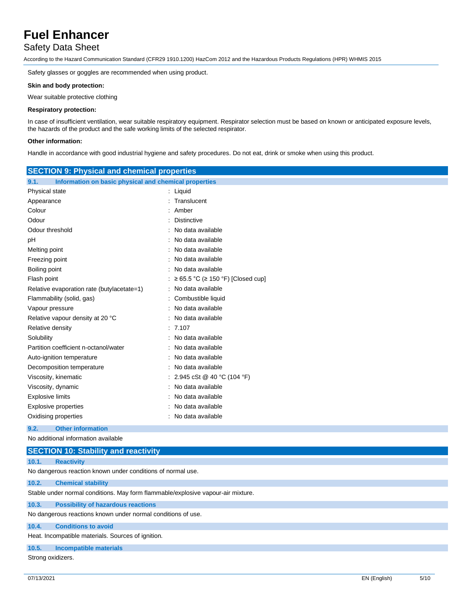## Safety Data Sheet

According to the Hazard Communication Standard (CFR29 1910.1200) HazCom 2012 and the Hazardous Products Regulations (HPR) WHMIS 2015

Safety glasses or goggles are recommended when using product.

#### **Skin and body protection:**

Wear suitable protective clothing

#### **Respiratory protection:**

In case of insufficient ventilation, wear suitable respiratory equipment. Respirator selection must be based on known or anticipated exposure levels, the hazards of the product and the safe working limits of the selected respirator.

#### **Other information:**

Handle in accordance with good industrial hygiene and safety procedures. Do not eat, drink or smoke when using this product.

| <b>SECTION 9: Physical and chemical properties</b>            |                                     |  |
|---------------------------------------------------------------|-------------------------------------|--|
| Information on basic physical and chemical properties<br>9.1. |                                     |  |
| Physical state                                                | : Liquid                            |  |
| Appearance                                                    | : Translucent                       |  |
| Colour                                                        | : Amber                             |  |
| Odour                                                         | : Distinctive                       |  |
| Odour threshold                                               | : No data available                 |  |
| рH                                                            | : No data available                 |  |
| Melting point                                                 | : No data available                 |  |
| Freezing point                                                | : No data available                 |  |
| Boiling point                                                 | : No data available                 |  |
| Flash point                                                   | : ≥ 65.5 °C (≥ 150 °F) [Closed cup] |  |
| Relative evaporation rate (butylacetate=1)                    | : No data available                 |  |
| Flammability (solid, gas)                                     | : Combustible liquid                |  |
| Vapour pressure                                               | : No data available                 |  |
| Relative vapour density at 20 °C                              | : No data available                 |  |
| Relative density                                              | : 7.107                             |  |
| Solubility                                                    | : No data available                 |  |
| Partition coefficient n-octanol/water                         | : No data available                 |  |
| Auto-ignition temperature                                     | : No data available                 |  |
| Decomposition temperature                                     | : No data available                 |  |
| Viscosity, kinematic                                          | : 2.945 cSt @ 40 °C (104 °F)        |  |
| : No data available<br>Viscosity, dynamic                     |                                     |  |
| <b>Explosive limits</b>                                       | : No data available                 |  |
| <b>Explosive properties</b>                                   | : No data available                 |  |
| Oxidising properties                                          | : No data available                 |  |
| 9.2.<br><b>Other information</b>                              |                                     |  |

No additional information available

## **SECTION 10: Stability and reactivity 10.1. Reactivity** No dangerous reaction known under conditions of normal use. **10.2. Chemical stability** Stable under normal conditions. May form flammable/explosive vapour-air mixture. **10.3. Possibility of hazardous reactions** No dangerous reactions known under normal conditions of use. **10.4. Conditions to avoid** Heat. Incompatible materials. Sources of ignition. **10.5. Incompatible materials** Strong oxidizers.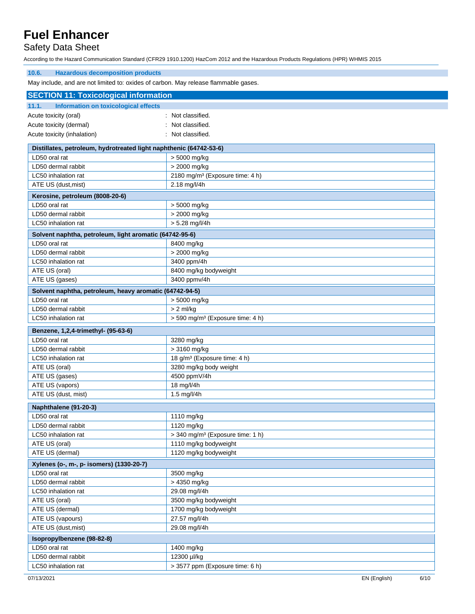## Safety Data Sheet

According to the Hazard Communication Standard (CFR29 1910.1200) HazCom 2012 and the Hazardous Products Regulations (HPR) WHMIS 2015

| 10.6.<br><b>Hazardous decomposition products</b>                                    |                                                                                     |  |  |
|-------------------------------------------------------------------------------------|-------------------------------------------------------------------------------------|--|--|
|                                                                                     | May include, and are not limited to: oxides of carbon. May release flammable gases. |  |  |
| <b>SECTION 11: Toxicological information</b>                                        |                                                                                     |  |  |
| 11.1.<br>Information on toxicological effects                                       |                                                                                     |  |  |
| Acute toxicity (oral)                                                               | Not classified.                                                                     |  |  |
| Acute toxicity (dermal)                                                             | Not classified.                                                                     |  |  |
| Acute toxicity (inhalation)                                                         | Not classified.                                                                     |  |  |
|                                                                                     |                                                                                     |  |  |
| Distillates, petroleum, hydrotreated light naphthenic (64742-53-6)<br>LD50 oral rat | > 5000 mg/kg                                                                        |  |  |
| LD50 dermal rabbit                                                                  |                                                                                     |  |  |
|                                                                                     | $> 2000$ mg/kg                                                                      |  |  |
| LC50 inhalation rat<br>ATE US (dust, mist)                                          | 2180 mg/m <sup>3</sup> (Exposure time: 4 h)<br>2.18 mg/l/4h                         |  |  |
|                                                                                     |                                                                                     |  |  |
| Kerosine, petroleum (8008-20-6)                                                     |                                                                                     |  |  |
| LD50 oral rat                                                                       | > 5000 mg/kg                                                                        |  |  |
| LD50 dermal rabbit                                                                  | > 2000 mg/kg                                                                        |  |  |
| LC50 inhalation rat                                                                 | $> 5.28$ mg/l/4h                                                                    |  |  |
| Solvent naphtha, petroleum, light aromatic (64742-95-6)                             |                                                                                     |  |  |
| LD50 oral rat                                                                       | 8400 mg/kg                                                                          |  |  |
| LD50 dermal rabbit                                                                  | > 2000 mg/kg                                                                        |  |  |
| LC50 inhalation rat                                                                 | 3400 ppm/4h                                                                         |  |  |
| ATE US (oral)                                                                       | 8400 mg/kg bodyweight                                                               |  |  |
| ATE US (gases)                                                                      | 3400 ppmv/4h                                                                        |  |  |
| Solvent naphtha, petroleum, heavy aromatic (64742-94-5)                             |                                                                                     |  |  |
| LD50 oral rat                                                                       | > 5000 mg/kg                                                                        |  |  |
| LD50 dermal rabbit                                                                  | $> 2$ ml/kg                                                                         |  |  |
| LC50 inhalation rat                                                                 | > 590 mg/m <sup>3</sup> (Exposure time: 4 h)                                        |  |  |
| Benzene, 1,2,4-trimethyl- (95-63-6)                                                 |                                                                                     |  |  |
| LD50 oral rat                                                                       | 3280 mg/kg                                                                          |  |  |
| LD50 dermal rabbit                                                                  | > 3160 mg/kg                                                                        |  |  |
| LC50 inhalation rat                                                                 | 18 g/m <sup>3</sup> (Exposure time: 4 h)                                            |  |  |
| ATE US (oral)                                                                       | 3280 mg/kg body weight                                                              |  |  |
| ATE US (gases)                                                                      | 4500 ppmV/4h                                                                        |  |  |
| ATE US (vapors)                                                                     | 18 mg/l/4h                                                                          |  |  |
| ATE US (dust, mist)                                                                 | 1.5 mg/l/4h                                                                         |  |  |
| Naphthalene (91-20-3)                                                               |                                                                                     |  |  |
| LD50 oral rat                                                                       | 1110 mg/kg                                                                          |  |  |
| LD50 dermal rabbit                                                                  | 1120 mg/kg                                                                          |  |  |
| LC50 inhalation rat                                                                 | > 340 mg/m <sup>3</sup> (Exposure time: 1 h)                                        |  |  |
| ATE US (oral)                                                                       | 1110 mg/kg bodyweight                                                               |  |  |
| ATE US (dermal)                                                                     | 1120 mg/kg bodyweight                                                               |  |  |
| Xylenes (o-, m-, p- isomers) (1330-20-7)                                            |                                                                                     |  |  |
| LD50 oral rat                                                                       | 3500 mg/kg                                                                          |  |  |
| LD50 dermal rabbit                                                                  | > 4350 mg/kg                                                                        |  |  |
| LC50 inhalation rat                                                                 | 29.08 mg/l/4h                                                                       |  |  |
| ATE US (oral)                                                                       | 3500 mg/kg bodyweight                                                               |  |  |
| ATE US (dermal)                                                                     | 1700 mg/kg bodyweight                                                               |  |  |
| ATE US (vapours)                                                                    | 27.57 mg/l/4h                                                                       |  |  |
| ATE US (dust, mist)                                                                 | 29.08 mg/l/4h                                                                       |  |  |
| Isopropylbenzene (98-82-8)                                                          |                                                                                     |  |  |
| LD50 oral rat                                                                       | 1400 mg/kg                                                                          |  |  |
| LD50 dermal rabbit                                                                  | 12300 µl/kg                                                                         |  |  |
| LC50 inhalation rat                                                                 | > 3577 ppm (Exposure time: 6 h)                                                     |  |  |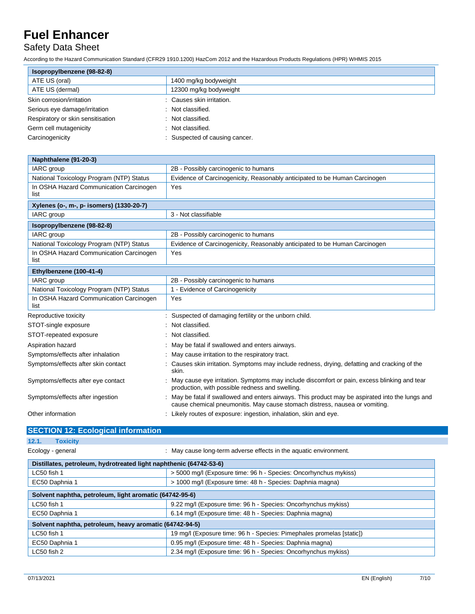## Safety Data Sheet

According to the Hazard Communication Standard (CFR29 1910.1200) HazCom 2012 and the Hazardous Products Regulations (HPR) WHMIS 2015

| Isopropylbenzene (98-82-8)        |                              |
|-----------------------------------|------------------------------|
| ATE US (oral)                     | 1400 mg/kg bodyweight        |
| ATE US (dermal)                   | 12300 mg/kg bodyweight       |
| Skin corrosion/irritation         | Causes skin irritation.      |
| Serious eye damage/irritation     | Not classified.              |
| Respiratory or skin sensitisation | : Not classified.            |
| Germ cell mutagenicity            | Not classified.              |
| Carcinogenicity                   | Suspected of causing cancer. |

| Naphthalene (91-20-3)                           |                                                                                                                                                                               |  |
|-------------------------------------------------|-------------------------------------------------------------------------------------------------------------------------------------------------------------------------------|--|
| IARC group                                      | 2B - Possibly carcinogenic to humans                                                                                                                                          |  |
| National Toxicology Program (NTP) Status        | Evidence of Carcinogenicity, Reasonably anticipated to be Human Carcinogen                                                                                                    |  |
| In OSHA Hazard Communication Carcinogen<br>list | Yes                                                                                                                                                                           |  |
| Xylenes (o-, m-, p- isomers) (1330-20-7)        |                                                                                                                                                                               |  |
| IARC group                                      | 3 - Not classifiable                                                                                                                                                          |  |
| Isopropylbenzene (98-82-8)                      |                                                                                                                                                                               |  |
| <b>IARC</b> group                               | 2B - Possibly carcinogenic to humans                                                                                                                                          |  |
| National Toxicology Program (NTP) Status        | Evidence of Carcinogenicity, Reasonably anticipated to be Human Carcinogen                                                                                                    |  |
| In OSHA Hazard Communication Carcinogen<br>list | Yes                                                                                                                                                                           |  |
| Ethylbenzene (100-41-4)                         |                                                                                                                                                                               |  |
| IARC group                                      | 2B - Possibly carcinogenic to humans                                                                                                                                          |  |
| National Toxicology Program (NTP) Status        | 1 - Evidence of Carcinogenicity                                                                                                                                               |  |
| In OSHA Hazard Communication Carcinogen<br>list | Yes                                                                                                                                                                           |  |
| Reproductive toxicity                           | Suspected of damaging fertility or the unborn child.                                                                                                                          |  |
| STOT-single exposure                            | Not classified.                                                                                                                                                               |  |
| STOT-repeated exposure                          | Not classified.                                                                                                                                                               |  |
| Aspiration hazard                               | May be fatal if swallowed and enters airways.                                                                                                                                 |  |
| Symptoms/effects after inhalation               | May cause irritation to the respiratory tract.                                                                                                                                |  |
| Symptoms/effects after skin contact             | Causes skin irritation. Symptoms may include redness, drying, defatting and cracking of the<br>skin.                                                                          |  |
| Symptoms/effects after eye contact              | May cause eye irritation. Symptoms may include discomfort or pain, excess blinking and tear<br>production, with possible redness and swelling.                                |  |
| Symptoms/effects after ingestion                | May be fatal if swallowed and enters airways. This product may be aspirated into the lungs and<br>cause chemical pneumonitis. May cause stomach distress, nausea or vomiting. |  |
| Other information                               | Likely routes of exposure: ingestion, inhalation, skin and eye.                                                                                                               |  |

|       | <b>SECTION 12: Ecological information</b> |  |
|-------|-------------------------------------------|--|
| 12.1. | <b>Toxicity</b>                           |  |

Ecology - general **Example 20** : May cause long-term adverse effects in the aquatic environment.

| Distillates, petroleum, hydrotreated light naphthenic (64742-53-6) |                                                                       |  |
|--------------------------------------------------------------------|-----------------------------------------------------------------------|--|
| LC50 fish 1                                                        | > 5000 mg/l (Exposure time: 96 h - Species: Oncorhynchus mykiss)      |  |
| EC50 Daphnia 1                                                     | > 1000 mg/l (Exposure time: 48 h - Species: Daphnia magna)            |  |
| Solvent naphtha, petroleum, light aromatic (64742-95-6)            |                                                                       |  |
|                                                                    |                                                                       |  |
| LC50 fish 1                                                        | 9.22 mg/l (Exposure time: 96 h - Species: Oncorhynchus mykiss)        |  |
| EC50 Daphnia 1                                                     | 6.14 mg/l (Exposure time: 48 h - Species: Daphnia magna)              |  |
| Solvent naphtha, petroleum, heavy aromatic (64742-94-5)            |                                                                       |  |
| LC50 fish 1                                                        | 19 mg/l (Exposure time: 96 h - Species: Pimephales promelas [static]) |  |
| EC50 Daphnia 1                                                     | 0.95 mg/l (Exposure time: 48 h - Species: Daphnia magna)              |  |
| LC50 fish 2                                                        | 2.34 mg/l (Exposure time: 96 h - Species: Oncorhynchus mykiss)        |  |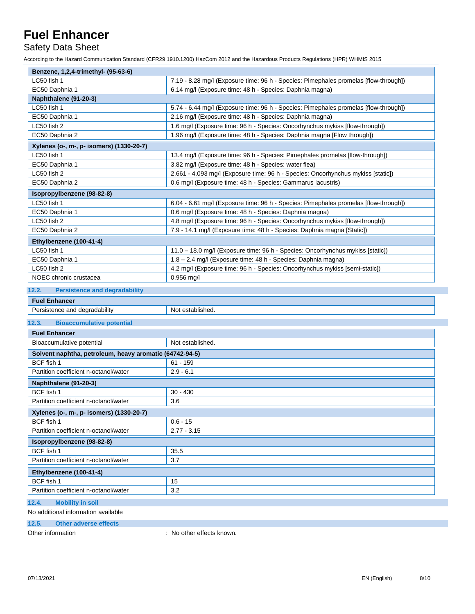Safety Data Sheet

According to the Hazard Communication Standard (CFR29 1910.1200) HazCom 2012 and the Hazardous Products Regulations (HPR) WHMIS 2015

| Benzene, 1,2,4-trimethyl- (95-63-6)      |                                                                                      |
|------------------------------------------|--------------------------------------------------------------------------------------|
| LC50 fish 1                              | 7.19 - 8.28 mg/l (Exposure time: 96 h - Species: Pimephales promelas [flow-through]) |
| EC50 Daphnia 1                           | 6.14 mg/l (Exposure time: 48 h - Species: Daphnia magna)                             |
| Naphthalene (91-20-3)                    |                                                                                      |
| LC50 fish 1                              | 5.74 - 6.44 mg/l (Exposure time: 96 h - Species: Pimephales promelas [flow-through]) |
| EC50 Daphnia 1                           | 2.16 mg/l (Exposure time: 48 h - Species: Daphnia magna)                             |
| LC50 fish 2                              | 1.6 mg/l (Exposure time: 96 h - Species: Oncorhynchus mykiss [flow-through])         |
| EC50 Daphnia 2                           | 1.96 mg/l (Exposure time: 48 h - Species: Daphnia magna [Flow through])              |
| Xylenes (o-, m-, p- isomers) (1330-20-7) |                                                                                      |
| LC50 fish 1                              | 13.4 mg/l (Exposure time: 96 h - Species: Pimephales promelas [flow-through])        |
| EC50 Daphnia 1                           | 3.82 mg/l (Exposure time: 48 h - Species: water flea)                                |
| LC50 fish 2                              | 2.661 - 4.093 mg/l (Exposure time: 96 h - Species: Oncorhynchus mykiss [static])     |
| EC50 Daphnia 2                           | 0.6 mg/l (Exposure time: 48 h - Species: Gammarus lacustris)                         |
| Isopropylbenzene (98-82-8)               |                                                                                      |
| LC50 fish 1                              | 6.04 - 6.61 mg/l (Exposure time: 96 h - Species: Pimephales promelas [flow-through]) |
| EC50 Daphnia 1                           | 0.6 mg/l (Exposure time: 48 h - Species: Daphnia magna)                              |
| LC50 fish 2                              | 4.8 mg/l (Exposure time: 96 h - Species: Oncorhynchus mykiss [flow-through])         |
| EC50 Daphnia 2                           | 7.9 - 14.1 mg/l (Exposure time: 48 h - Species: Daphnia magna [Static])              |
| Ethylbenzene (100-41-4)                  |                                                                                      |
| LC50 fish 1                              | 11.0 - 18.0 mg/l (Exposure time: 96 h - Species: Oncorhynchus mykiss [static])       |
| EC50 Daphnia 1                           | 1.8 – 2.4 mg/l (Exposure time: 48 h - Species: Daphnia magna)                        |
| LC50 fish 2                              | 4.2 mg/l (Exposure time: 96 h - Species: Oncorhynchus mykiss [semi-static])          |
| NOEC chronic crustacea                   | $0.956$ mg/l                                                                         |

#### **12.2. Persistence and degradability**

| <b>Fue</b><br>$\sim$<br>.                          |                                      |
|----------------------------------------------------|--------------------------------------|
| <br>dearadability<br>: and o<br>"SISTE.<br>11. . C | Not<br>.<br>ootor<br>niisnea.<br>51. |
|                                                    |                                      |

### **12.3. Bioaccumulative potential**

| <b>Fuel Enhancer</b>                                    |                  |  |
|---------------------------------------------------------|------------------|--|
| Bioaccumulative potential                               | Not established. |  |
| Solvent naphtha, petroleum, heavy aromatic (64742-94-5) |                  |  |
| BCF fish 1                                              | $61 - 159$       |  |
| Partition coefficient n-octanol/water                   | $2.9 - 6.1$      |  |
| Naphthalene (91-20-3)                                   |                  |  |
| BCF fish 1                                              | $30 - 430$       |  |
| Partition coefficient n-octanol/water                   | 3.6              |  |
| Xylenes (o-, m-, p- isomers) (1330-20-7)                |                  |  |
| BCF fish 1                                              | $0.6 - 15$       |  |
| Partition coefficient n-octanol/water                   | $2.77 - 3.15$    |  |
| Isopropylbenzene (98-82-8)                              |                  |  |
| BCF fish 1                                              | 35.5             |  |
| Partition coefficient n-octanol/water                   | 3.7              |  |
| Ethylbenzene (100-41-4)                                 |                  |  |
| BCF fish 1                                              | 15               |  |
| Partition coefficient n-octanol/water                   | 3.2              |  |
| 12.4.<br><b>Mobility in soil</b>                        |                  |  |

### No additional information available

### **12.5. Other adverse effects**

Other information  $\qquad \qquad$ : No other effects known.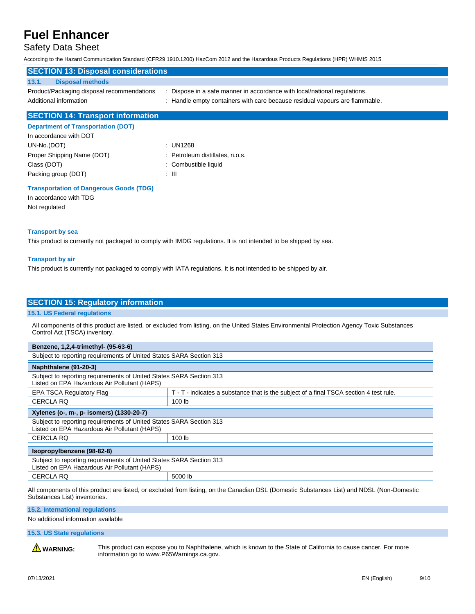### Safety Data Sheet

According to the Hazard Communication Standard (CFR29 1910.1200) HazCom 2012 and the Hazardous Products Regulations (HPR) WHMIS 2015

| <b>SECTION 13: Disposal considerations</b> |                                                                             |
|--------------------------------------------|-----------------------------------------------------------------------------|
| <b>Disposal methods</b><br>13.1.           |                                                                             |
| Product/Packaging disposal recommendations | : Dispose in a safe manner in accordance with local/national regulations.   |
| Additional information                     | : Handle empty containers with care because residual vapours are flammable. |
| <b>SECTION 14: Transport information</b>   |                                                                             |
| <b>Department of Transportation (DOT)</b>  |                                                                             |
| In accordance with DOT                     |                                                                             |
| UN-No.(DOT)                                | : UN1268                                                                    |
| Proper Shipping Name (DOT)                 | : Petroleum distillates, n.o.s.                                             |

### **Transportation of Dangerous Goods (TDG)**

Packing group (DOT) : III

Class (DOT) : Combustible liquid

In accordance with TDG Not regulated

#### **Transport by sea**

This product is currently not packaged to comply with IMDG regulations. It is not intended to be shipped by sea.

#### **Transport by air**

This product is currently not packaged to comply with IATA regulations. It is not intended to be shipped by air.

### **SECTION 15: Regulatory information**

#### **15.1. US Federal regulations**

All components of this product are listed, or excluded from listing, on the United States Environmental Protection Agency Toxic Substances Control Act (TSCA) inventory.

| Benzene, 1,2,4-trimethyl- (95-63-6)                                                                                 |                                                                                        |  |
|---------------------------------------------------------------------------------------------------------------------|----------------------------------------------------------------------------------------|--|
| Subject to reporting requirements of United States SARA Section 313                                                 |                                                                                        |  |
| Naphthalene (91-20-3)                                                                                               |                                                                                        |  |
| Subject to reporting requirements of United States SARA Section 313<br>Listed on EPA Hazardous Air Pollutant (HAPS) |                                                                                        |  |
| <b>EPA TSCA Regulatory Flag</b>                                                                                     | T - T - indicates a substance that is the subject of a final TSCA section 4 test rule. |  |
| CERCLA RO                                                                                                           | 100 <sub>lb</sub>                                                                      |  |
| Xylenes (o-, m-, p- isomers) (1330-20-7)                                                                            |                                                                                        |  |
| Subject to reporting requirements of United States SARA Section 313<br>Listed on EPA Hazardous Air Pollutant (HAPS) |                                                                                        |  |
| <b>CERCLA RQ</b>                                                                                                    | 100 <sub>lb</sub>                                                                      |  |
| Isopropylbenzene (98-82-8)                                                                                          |                                                                                        |  |
| Subject to reporting requirements of United States SARA Section 313<br>Listed on EPA Hazardous Air Pollutant (HAPS) |                                                                                        |  |
| <b>CERCLA RQ</b>                                                                                                    | 5000 lb                                                                                |  |

All components of this product are listed, or excluded from listing, on the Canadian DSL (Domestic Substances List) and NDSL (Non-Domestic Substances List) inventories.

#### **15.2. International regulations**

No additional information available

#### **15.3. US State regulations**

WARNING: This product can expose you to Naphthalene, which is known to the State of California to cause cancer. For more information go to www.P65Warnings.ca.gov.